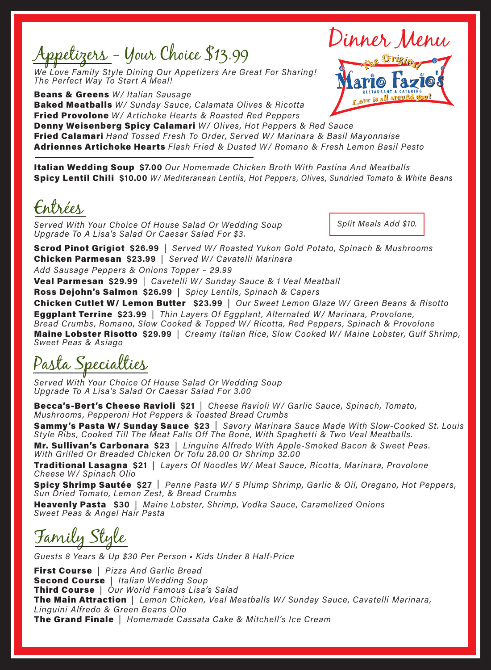Appetizers - Your Choice \$13.99

 We Love Family Style Dining Our Appetizers Are Great For Sharing! The Perfect Way To Start A Meal!

**Beans & Greens** W/ Italian Sausage **Baked Meatballs** W/ Sunday Sauce, Calamata Olives & Ricotta **Fried Provolone** W/ Artichoke Hearts & Roasted Red Peppers Denny Weisenberg Spicy Calamari W/ Olives, Hot Peppers & Red Sauce



**Fried Calamari** Hand Tossed Fresh To Order, Served W/ Marinara & Basil Mayonnaise **Adriennes Artichoke Hearts** Flash Fried & Dusted W/ Romano & Fresh Lemon Basil Pesto

Italian Wedding Soup \$7.00 Our Homemade Chicken Broth With Pastina And Meatballs **Spicy Lentil Chili \$10.00** W/ Mediteranean Lentils, Hot Peppers, Olives, Sundried Tomato & White Beans

Entrées

 Served With Your Choice Of House Salad Or Wedding Soup Upgrade To A Lisa's Salad Or Caesar Salad For \$3.

Split Meals Add \$10.

Dinner Menu

**Scrod Pinot Grigiot \$26.99** | Served W/ Roasted Yukon Gold Potato, Spinach & Mushrooms Chicken Parmesan \$23.99 | Served W/ Cavatelli Marinara

 Add Sausage Peppers & Onions Topper – 29.99

 Veal Parmesan \$29.99 | Cavetelli W/ Sunday Sauce & 1 Veal Meatball

Ross Dejohn's Salmon \$26.99 | Spicy Lentils, Spinach & Capers

Chicken Cutlet W/ Lemon Butter \$23.99 | Our Sweet Lemon Glaze W/ Green Beans & Risotto **Eggplant Terrine \$23.99** | Thin Layers Of Eggplant, Alternated W/ Marinara, Provolone, Bread Crumbs, Romano, Slow Cooked & Topped W/ Ricotta, Red Peppers, Spinach & Provolone Maine Lobster Risotto \$29.99 | Creamy Italian Rice, Slow Cooked W/ Maine Lobster, Gulf Shrimp, Sweet Peas & Asiago

Pasta Specialties

Served With Your Choice Of House Salad Or Wedding Soup Upgrade To A Lisa's Salad Or Caesar Salad For 3.00

Becca's-Bert's Cheese Ravioli \$21 | Cheese Ravioli W/ Garlic Sauce, Spinach, Tomato, Mushrooms, Pepperoni Hot Peppers & Toasted Bread Crumbs

Sammy's Pasta W/ Sunday Sauce \$23 | Savory Marinara Sauce Made With Slow-Cooked St. Louis Style Ribs, Cooked Till The Meat Falls Off The Bone, With Spaghetti & Two Veal Meatballs.

Mr. Sullivan's Carbonara \$23 | Linguine Alfredo With Apple-Smoked Bacon & Sweet Peas. With Grilled Or Breaded Chicken Or Tofu 28.00 Or Shrimp 32.00

**Traditional Lasagna \$21** | Layers Of Noodles W/ Meat Sauce, Ricotta, Marinara, Provolone Cheese W/ Spinach Olio

**Spicy Shrimp Sautée \$27** | Penne Pasta W/ 5 Plump Shrimp, Garlic & Oil, Oregano, Hot Peppers, Sun Dried Tomato, Lemon Zest, & Bread Crumbs

Heavenly Pasta \$30 | Maine Lobster, Shrimp, Vodka Sauce, Caramelized Onions Sweet Peas & Angel Hair Pasta

Family Style

ars & Up \$30 Per Person • Kids Under 8 Half-Price

**First Course** | Pizza And Garlic Bread Second Course | Italian Wedding Soup Third Course | Our World Famous Lisa's Salad The Main Attraction | Lemon Chicken, Veal Meatballs W/ Sunday Sauce, Cavatelli Marinara, Linguini Alfredo & Green Beans Olio The Grand Finale | Homemade Cassata Cake & Mitchell's Ice Cream